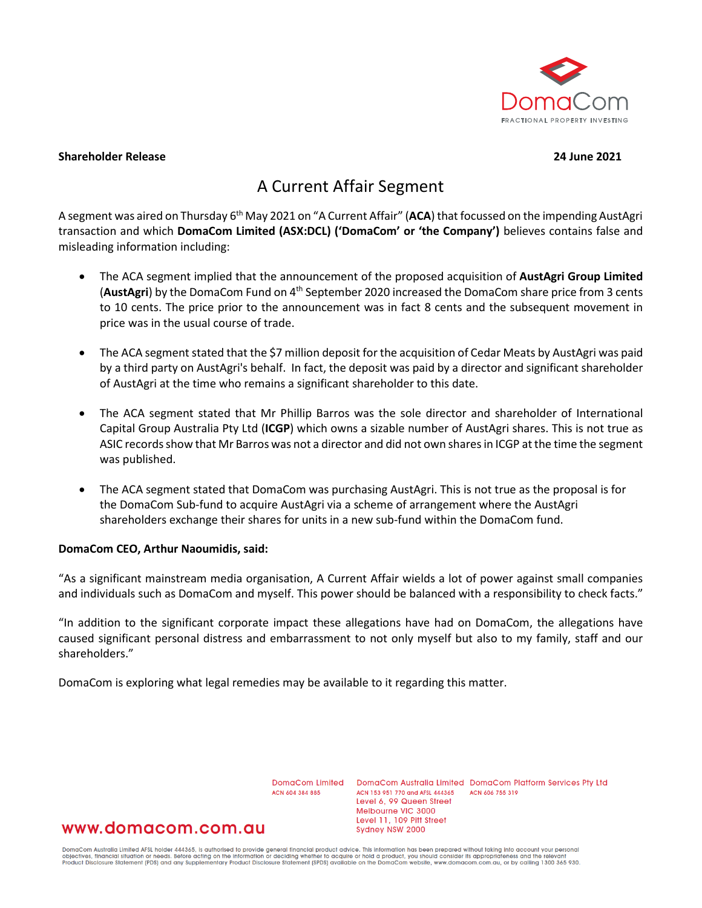

### **Shareholder Release 24 June 2021**

# A Current Affair Segment

A segment was aired on Thursday 6th May 2021 on "A Current Affair" (**ACA**) that focussed on the impending AustAgri transaction and which **DomaCom Limited (ASX:DCL) ('DomaCom' or 'the Company')** believes contains false and misleading information including:

- The ACA segment implied that the announcement of the proposed acquisition of **AustAgri Group Limited** (**AustAgri**) by the DomaCom Fund on 4th September 2020 increased the DomaCom share price from 3 cents to 10 cents. The price prior to the announcement was in fact 8 cents and the subsequent movement in price was in the usual course of trade.
- The ACA segment stated that the \$7 million deposit for the acquisition of Cedar Meats by AustAgri was paid by a third party on AustAgri's behalf. In fact, the deposit was paid by a director and significant shareholder of AustAgri at the time who remains a significant shareholder to this date.
- The ACA segment stated that Mr Phillip Barros was the sole director and shareholder of International Capital Group Australia Pty Ltd (**ICGP**) which owns a sizable number of AustAgri shares. This is not true as ASIC records show that Mr Barros was not a director and did not own shares in ICGP at the time the segment was published.
- The ACA segment stated that DomaCom was purchasing AustAgri. This is not true as the proposal is for the DomaCom Sub-fund to acquire AustAgri via a scheme of arrangement where the AustAgri shareholders exchange their shares for units in a new sub-fund within the DomaCom fund.

### **DomaCom CEO, Arthur Naoumidis, said:**

"As a significant mainstream media organisation, A Current Affair wields a lot of power against small companies and individuals such as DomaCom and myself. This power should be balanced with a responsibility to check facts."

"In addition to the significant corporate impact these allegations have had on DomaCom, the allegations have caused significant personal distress and embarrassment to not only myself but also to my family, staff and our shareholders."

DomaCom is exploring what legal remedies may be available to it regarding this matter.

DomaCom Limited ACN 604 384 885

DomaCom Australia Limited DomaCom Platform Services Pty Ltd ACN 153 951 770 and AFSL 444365 ACN 606 755 319 Level 6, 99 Queen Street Melbourne VIC 3000 Level 11, 109 Pitt Street Sydney NSW 2000

## www.domacom.com.au

DomaCom Australia Limited AFSL holder 444365, is authorised to provide general financial product advice. This information has been prepared without taking into account your personal<br>objectives, financial situation or needs